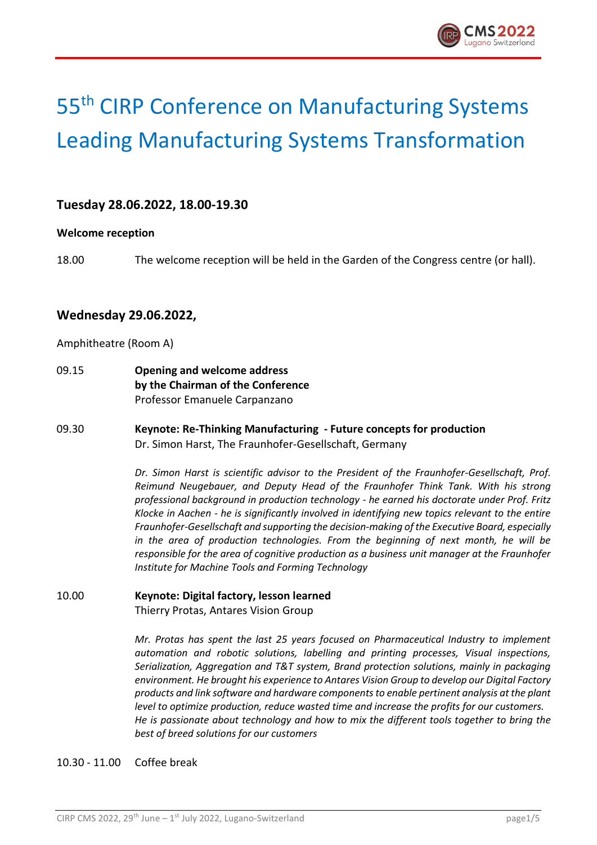

# 55th CIRP Conference on Manufacturing Systems Leading Manufacturing Systems Transformation

## **Tuesday 28.06.2022, 18.00-19.30**

#### **Welcome reception**

18.00 The welcome reception will be held in the Garden of the Congress centre (or hall).

## **Wednesday 29.06.2022,**

Amphitheatre (Room A)

- 09.15 **Opening and welcome address by the Chairman of the Conference** Professor Emanuele Carpanzano
- 09.30 **Keynote: Re-Thinking Manufacturing - Future concepts for production** Dr. Simon Harst, The Fraunhofer-Gesellschaft, Germany

*Dr. Simon Harst is scientific advisor to the President of the Fraunhofer-Gesellschaft, Prof. Reimund Neugebauer, and Deputy Head of the Fraunhofer Think Tank. With his strong professional background in production technology - he earned his doctorate under Prof. Fritz Klocke in Aachen - he is significantly involved in identifying new topics relevant to the entire Fraunhofer-Gesellschaft and supporting the decision-making of the Executive Board, especially in the area of production technologies. From the beginning of next month, he will be responsible for the area of cognitive production as a business unit manager at the Fraunhofer Institute for Machine Tools and Forming Technology*

10.00 **Keynote: Digital factory, lesson learned** Thierry Protas, Antares Vision Group

> *Mr. Protas has spent the last 25 years focused on Pharmaceutical Industry to implement automation and robotic solutions, labelling and printing processes, Visual inspections, Serialization, Aggregation and T&T system, Brand protection solutions, mainly in packaging environment. He brought his experience to Antares Vision Group to develop our Digital Factory products and link software and hardware components to enable pertinent analysis at the plant level to optimize production, reduce wasted time and increase the profits for our customers. He is passionate about technology and how to mix the different tools together to bring the best of breed solutions for our customers*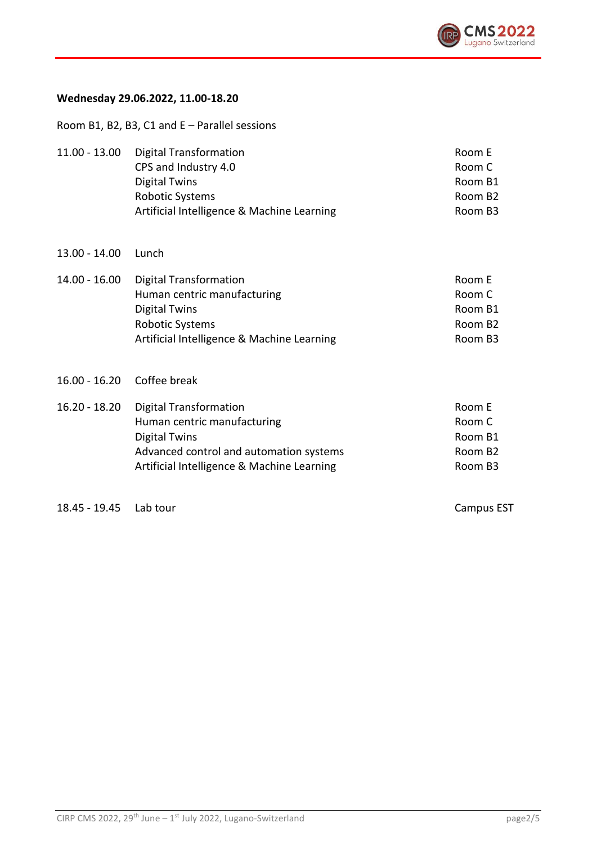

## **Wednesday 29.06.2022, 11.00-18.20**

Room B1, B2, B3, C1 and E – Parallel sessions

| $11.00 - 13.00$ | Digital Transformation<br>CPS and Industry 4.0<br><b>Digital Twins</b><br><b>Robotic Systems</b><br>Artificial Intelligence & Machine Learning                                | Room E<br>Room C<br>Room B1<br>Room B <sub>2</sub><br>Room B3 |
|-----------------|-------------------------------------------------------------------------------------------------------------------------------------------------------------------------------|---------------------------------------------------------------|
| $13.00 - 14.00$ | Lunch                                                                                                                                                                         |                                                               |
| $14.00 - 16.00$ | <b>Digital Transformation</b><br>Human centric manufacturing<br><b>Digital Twins</b><br><b>Robotic Systems</b><br>Artificial Intelligence & Machine Learning                  | Room E<br>Room C<br>Room B1<br>Room B <sub>2</sub><br>Room B3 |
| 16.00 - 16.20   | Coffee break                                                                                                                                                                  |                                                               |
| $16.20 - 18.20$ | <b>Digital Transformation</b><br>Human centric manufacturing<br><b>Digital Twins</b><br>Advanced control and automation systems<br>Artificial Intelligence & Machine Learning | Room E<br>Room C<br>Room B1<br>Room B <sub>2</sub><br>Room B3 |

18.45 - 19.45 Lab tour Campus EST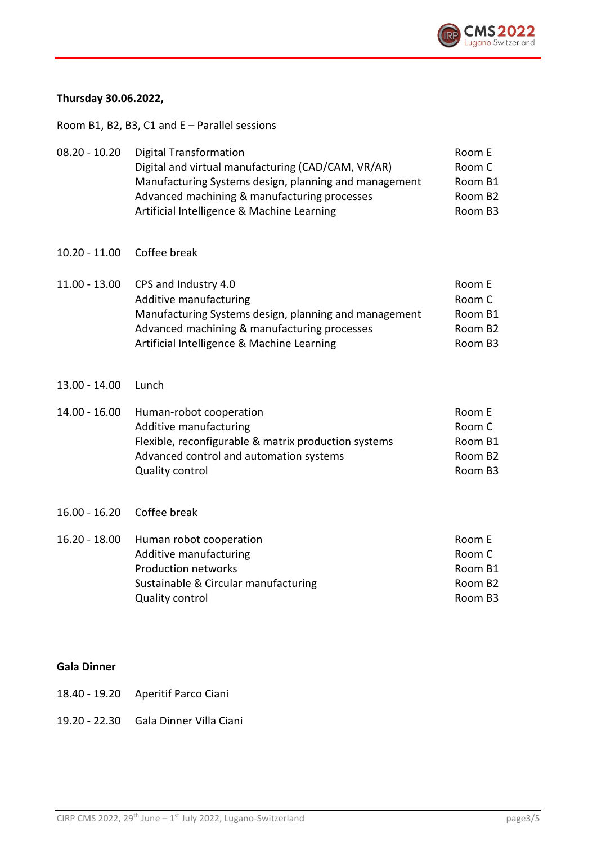

## **Thursday 30.06.2022,**

Room B1, B2, B3, C1 and E – Parallel sessions

| $08.20 - 10.20$ | <b>Digital Transformation</b><br>Digital and virtual manufacturing (CAD/CAM, VR/AR)<br>Manufacturing Systems design, planning and management<br>Advanced machining & manufacturing processes<br>Artificial Intelligence & Machine Learning | Room E<br>Room C<br>Room B1<br>Room B <sub>2</sub><br>Room B3 |
|-----------------|--------------------------------------------------------------------------------------------------------------------------------------------------------------------------------------------------------------------------------------------|---------------------------------------------------------------|
| 10.20 - 11.00   | Coffee break                                                                                                                                                                                                                               |                                                               |
| $11.00 - 13.00$ | CPS and Industry 4.0<br>Additive manufacturing<br>Manufacturing Systems design, planning and management<br>Advanced machining & manufacturing processes<br>Artificial Intelligence & Machine Learning                                      | Room E<br>Room C<br>Room B1<br>Room B <sub>2</sub><br>Room B3 |
| $13.00 - 14.00$ | Lunch                                                                                                                                                                                                                                      |                                                               |
| 14.00 - 16.00   | Human-robot cooperation<br>Additive manufacturing<br>Flexible, reconfigurable & matrix production systems                                                                                                                                  | Room E<br>Room C<br>Room B1                                   |

| Flexible, reconfigurable & matrix production systems | Room B1             |
|------------------------------------------------------|---------------------|
| Advanced control and automation systems              | Room B <sub>2</sub> |
| Quality control                                      | Room B3             |

#### 16.00 - 16.20 Coffee break

| 16.20 - 18.00 | Human robot cooperation              | Room E  |
|---------------|--------------------------------------|---------|
|               | Additive manufacturing               | Room C  |
|               | Production networks                  | Room B1 |
|               | Sustainable & Circular manufacturing | Room B2 |
|               | Quality control                      | Room B3 |
|               |                                      |         |

#### **Gala Dinner**

- 18.40 19.20 Aperitif Parco Ciani
- 19.20 22.30 Gala Dinner Villa Ciani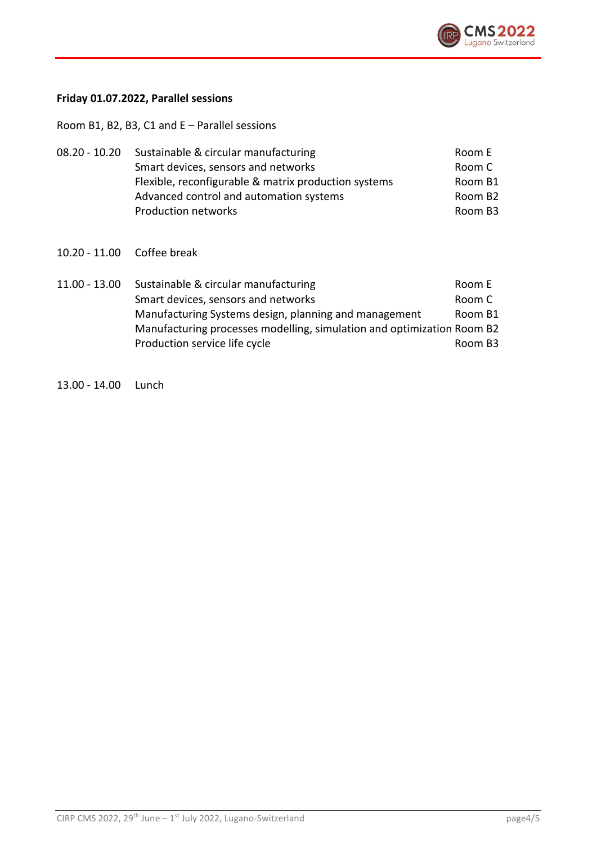

## **Friday 01.07.2022, Parallel sessions**

Room B1, B2, B3, C1 and E – Parallel sessions

| $08.20 - 10.20$ | Sustainable & circular manufacturing                 | Room E              |
|-----------------|------------------------------------------------------|---------------------|
|                 | Smart devices, sensors and networks                  | Room C              |
|                 | Flexible, reconfigurable & matrix production systems | Room B1             |
|                 | Advanced control and automation systems              | Room B <sub>2</sub> |
|                 | Production networks                                  | Room B3             |

10.20 - 11.00 Coffee break

| $11.00 - 13.00$ | Sustainable & circular manufacturing                                   | Room E  |
|-----------------|------------------------------------------------------------------------|---------|
|                 | Smart devices, sensors and networks                                    | Room C  |
|                 | Manufacturing Systems design, planning and management                  | Room B1 |
|                 | Manufacturing processes modelling, simulation and optimization Room B2 |         |
|                 | Production service life cycle                                          | Room B3 |

13.00 - 14.00 Lunch